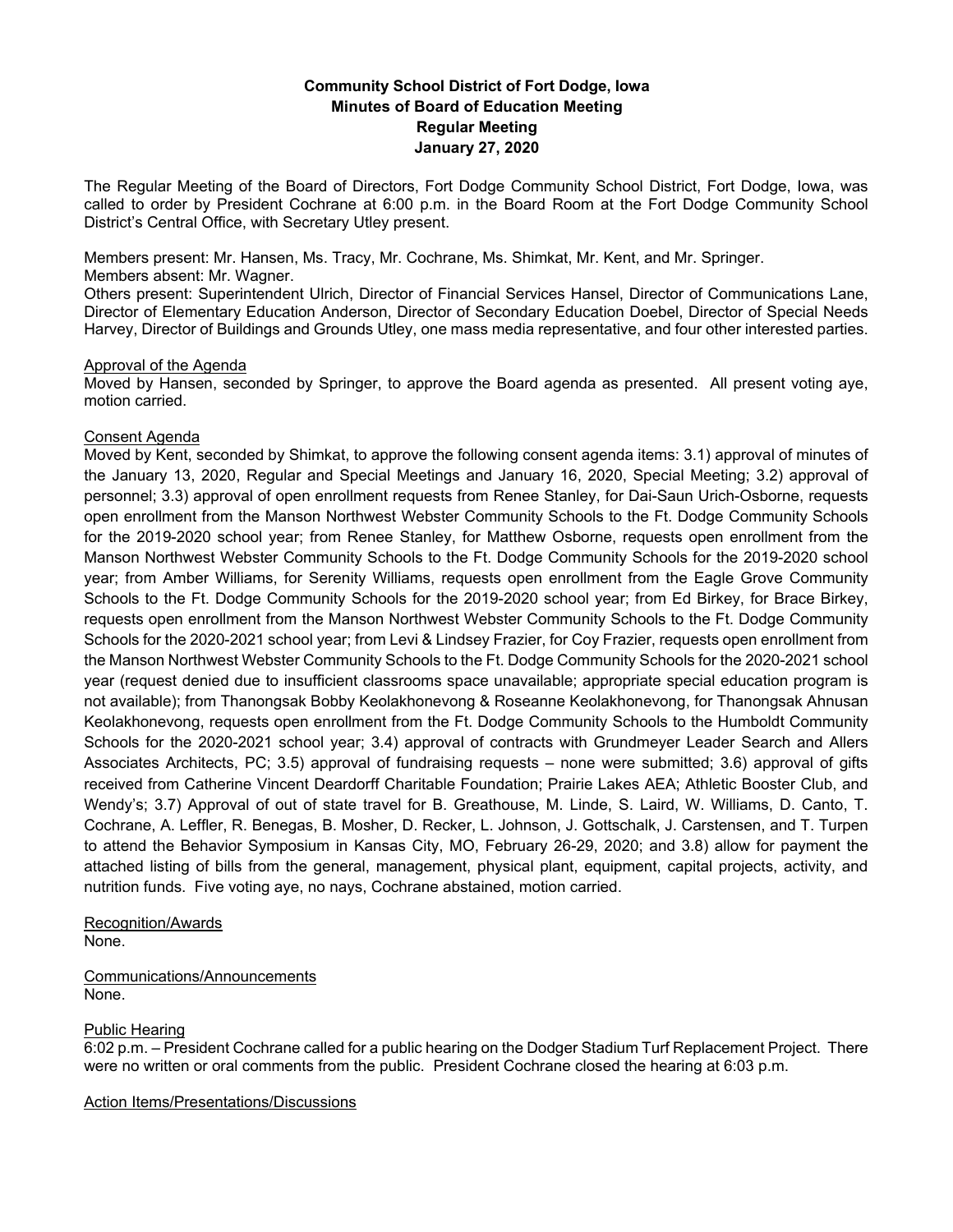# **Community School District of Fort Dodge, Iowa Minutes of Board of Education Meeting Regular Meeting January 27, 2020**

The Regular Meeting of the Board of Directors, Fort Dodge Community School District, Fort Dodge, Iowa, was called to order by President Cochrane at 6:00 p.m. in the Board Room at the Fort Dodge Community School District's Central Office, with Secretary Utley present.

Members present: Mr. Hansen, Ms. Tracy, Mr. Cochrane, Ms. Shimkat, Mr. Kent, and Mr. Springer. Members absent: Mr. Wagner.

Others present: Superintendent Ulrich, Director of Financial Services Hansel, Director of Communications Lane, Director of Elementary Education Anderson, Director of Secondary Education Doebel, Director of Special Needs Harvey, Director of Buildings and Grounds Utley, one mass media representative, and four other interested parties.

## Approval of the Agenda

Moved by Hansen, seconded by Springer, to approve the Board agenda as presented. All present voting aye, motion carried.

## Consent Agenda

Moved by Kent, seconded by Shimkat, to approve the following consent agenda items: 3.1) approval of minutes of the January 13, 2020, Regular and Special Meetings and January 16, 2020, Special Meeting; 3.2) approval of personnel; 3.3) approval of open enrollment requests from Renee Stanley, for Dai-Saun Urich-Osborne, requests open enrollment from the Manson Northwest Webster Community Schools to the Ft. Dodge Community Schools for the 2019-2020 school year; from Renee Stanley, for Matthew Osborne, requests open enrollment from the Manson Northwest Webster Community Schools to the Ft. Dodge Community Schools for the 2019-2020 school year; from Amber Williams, for Serenity Williams, requests open enrollment from the Eagle Grove Community Schools to the Ft. Dodge Community Schools for the 2019-2020 school year; from Ed Birkey, for Brace Birkey, requests open enrollment from the Manson Northwest Webster Community Schools to the Ft. Dodge Community Schools for the 2020-2021 school year; from Levi & Lindsey Frazier, for Coy Frazier, requests open enrollment from the Manson Northwest Webster Community Schools to the Ft. Dodge Community Schools for the 2020-2021 school year (request denied due to insufficient classrooms space unavailable; appropriate special education program is not available); from Thanongsak Bobby Keolakhonevong & Roseanne Keolakhonevong, for Thanongsak Ahnusan Keolakhonevong, requests open enrollment from the Ft. Dodge Community Schools to the Humboldt Community Schools for the 2020-2021 school year; 3.4) approval of contracts with Grundmeyer Leader Search and Allers Associates Architects, PC; 3.5) approval of fundraising requests – none were submitted; 3.6) approval of gifts received from Catherine Vincent Deardorff Charitable Foundation; Prairie Lakes AEA; Athletic Booster Club, and Wendy's; 3.7) Approval of out of state travel for B. Greathouse, M. Linde, S. Laird, W. Williams, D. Canto, T. Cochrane, A. Leffler, R. Benegas, B. Mosher, D. Recker, L. Johnson, J. Gottschalk, J. Carstensen, and T. Turpen to attend the Behavior Symposium in Kansas City, MO, February 26-29, 2020; and 3.8) allow for payment the attached listing of bills from the general, management, physical plant, equipment, capital projects, activity, and nutrition funds. Five voting aye, no nays, Cochrane abstained, motion carried.

Recognition/Awards None.

Communications/Announcements None.

## Public Hearing

6:02 p.m. – President Cochrane called for a public hearing on the Dodger Stadium Turf Replacement Project. There were no written or oral comments from the public. President Cochrane closed the hearing at 6:03 p.m.

Action Items/Presentations/Discussions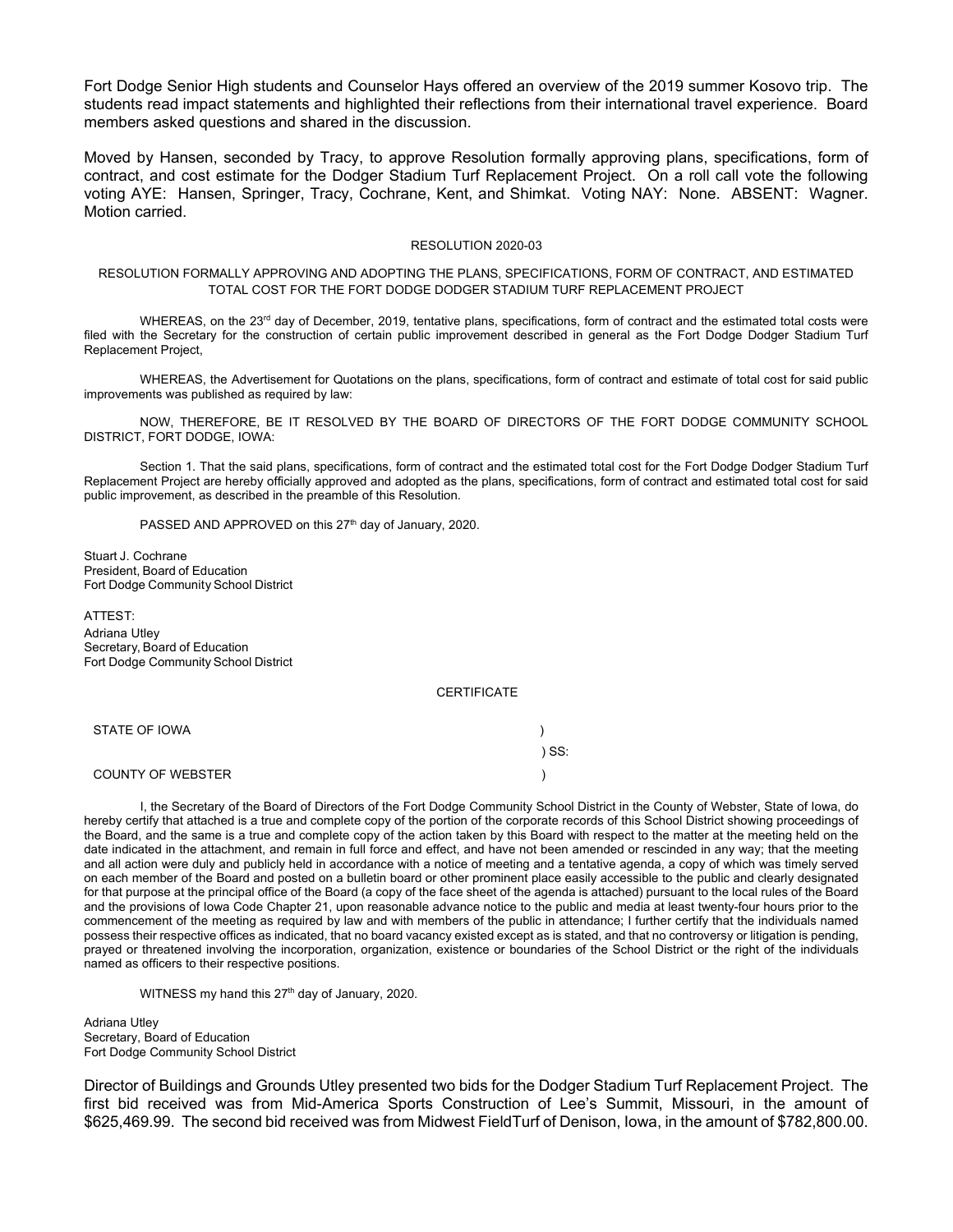Fort Dodge Senior High students and Counselor Hays offered an overview of the 2019 summer Kosovo trip. The students read impact statements and highlighted their reflections from their international travel experience. Board members asked questions and shared in the discussion.

Moved by Hansen, seconded by Tracy, to approve Resolution formally approving plans, specifications, form of contract, and cost estimate for the Dodger Stadium Turf Replacement Project. On a roll call vote the following voting AYE: Hansen, Springer, Tracy, Cochrane, Kent, and Shimkat. Voting NAY: None. ABSENT: Wagner. Motion carried.

#### RESOLUTION 2020-03

### RESOLUTION FORMALLY APPROVING AND ADOPTING THE PLANS, SPECIFICATIONS, FORM OF CONTRACT, AND ESTIMATED TOTAL COST FOR THE FORT DODGE DODGER STADIUM TURF REPLACEMENT PROJECT

WHEREAS, on the 23<sup>rd</sup> day of December, 2019, tentative plans, specifications, form of contract and the estimated total costs were filed with the Secretary for the construction of certain public improvement described in general as the Fort Dodge Dodger Stadium Turf Replacement Project,

WHEREAS, the Advertisement for Quotations on the plans, specifications, form of contract and estimate of total cost for said public improvements was published as required by law:

NOW, THEREFORE, BE IT RESOLVED BY THE BOARD OF DIRECTORS OF THE FORT DODGE COMMUNITY SCHOOL DISTRICT, FORT DODGE, IOWA:

Section 1. That the said plans, specifications, form of contract and the estimated total cost for the Fort Dodge Dodger Stadium Turf Replacement Project are hereby officially approved and adopted as the plans, specifications, form of contract and estimated total cost for said public improvement, as described in the preamble of this Resolution.

PASSED AND APPROVED on this 27<sup>th</sup> day of January, 2020.

Stuart J. Cochrane President, Board of Education Fort Dodge Community School District

ATTEST: Adriana Utley Secretary, Board of Education Fort Dodge Community School District

**CERTIFICATE** 

| STATE OF IOWA     |       |
|-------------------|-------|
|                   | ) SS: |
| COUNTY OF WEBSTER |       |

I, the Secretary of the Board of Directors of the Fort Dodge Community School District in the County of Webster, State of Iowa, do hereby certify that attached is a true and complete copy of the portion of the corporate records of this School District showing proceedings of the Board, and the same is a true and complete copy of the action taken by this Board with respect to the matter at the meeting held on the date indicated in the attachment, and remain in full force and effect, and have not been amended or rescinded in any way; that the meeting and all action were duly and publicly held in accordance with a notice of meeting and a tentative agenda, a copy of which was timely served on each member of the Board and posted on a bulletin board or other prominent place easily accessible to the public and clearly designated for that purpose at the principal office of the Board (a copy of the face sheet of the agenda is attached) pursuant to the local rules of the Board and the provisions of Iowa Code Chapter 21, upon reasonable advance notice to the public and media at least twenty-four hours prior to the commencement of the meeting as required by law and with members of the public in attendance; I further certify that the individuals named possess their respective offices as indicated, that no board vacancy existed except as is stated, and that no controversy or litigation is pending, prayed or threatened involving the incorporation, organization, existence or boundaries of the School District or the right of the individuals named as officers to their respective positions.

WITNESS my hand this 27<sup>th</sup> day of January, 2020.

Adriana Utley Secretary, Board of Education Fort Dodge Community School District

Director of Buildings and Grounds Utley presented two bids for the Dodger Stadium Turf Replacement Project. The first bid received was from Mid-America Sports Construction of Lee's Summit, Missouri, in the amount of \$625,469.99. The second bid received was from Midwest FieldTurf of Denison, Iowa, in the amount of \$782,800.00.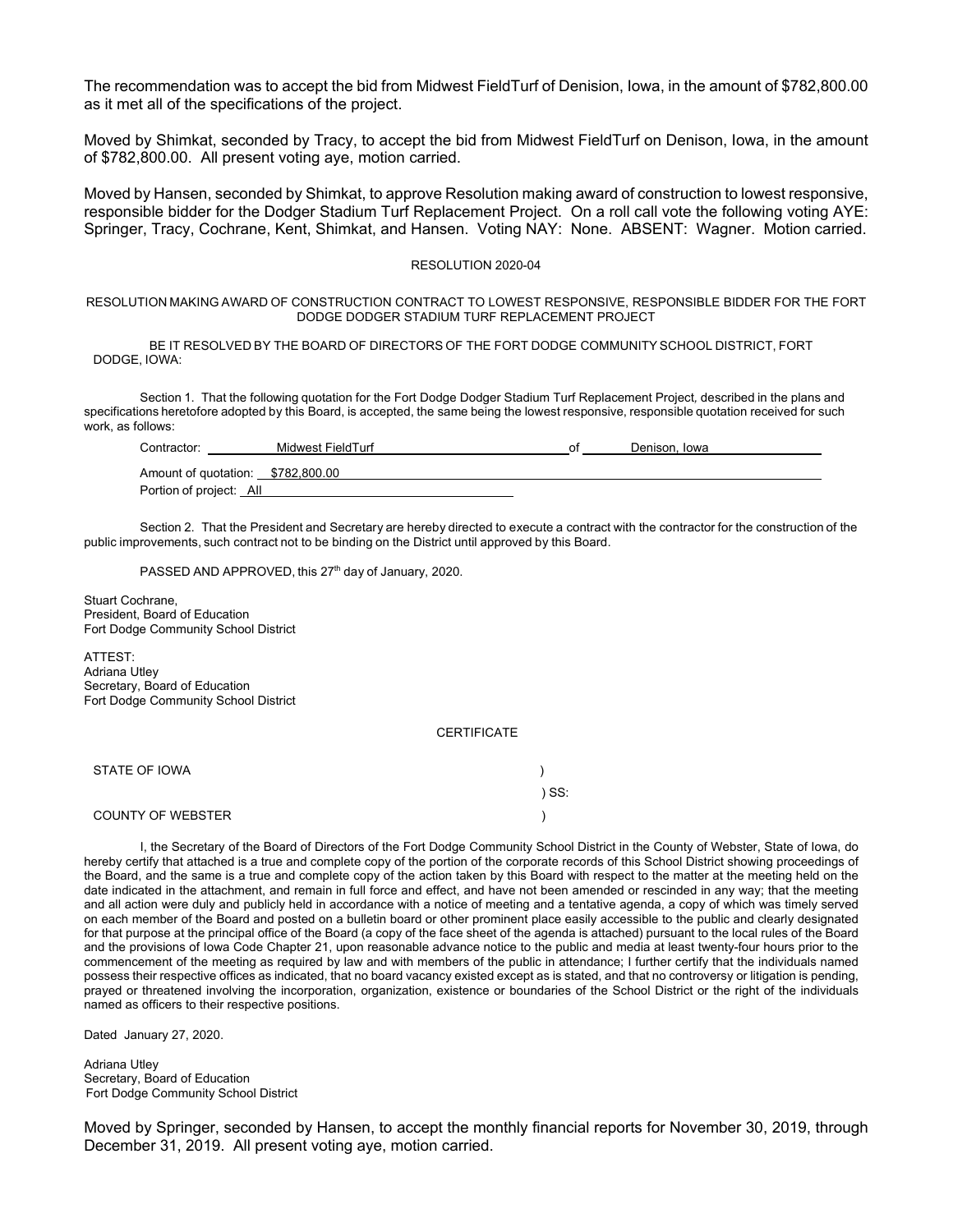The recommendation was to accept the bid from Midwest FieldTurf of Denision, Iowa, in the amount of \$782,800.00 as it met all of the specifications of the project.

Moved by Shimkat, seconded by Tracy, to accept the bid from Midwest FieldTurf on Denison, Iowa, in the amount of \$782,800.00. All present voting aye, motion carried.

Moved by Hansen, seconded by Shimkat, to approve Resolution making award of construction to lowest responsive, responsible bidder for the Dodger Stadium Turf Replacement Project. On a roll call vote the following voting AYE: Springer, Tracy, Cochrane, Kent, Shimkat, and Hansen. Voting NAY: None. ABSENT: Wagner. Motion carried.

#### RESOLUTION 2020-04

RESOLUTION MAKING AWARD OF CONSTRUCTION CONTRACT TO LOWEST RESPONSIVE, RESPONSIBLE BIDDER FOR THE FORT DODGE DODGER STADIUM TURF REPLACEMENT PROJECT

BE IT RESOLVED BY THE BOARD OF DIRECTORS OF THE FORT DODGE COMMUNITY SCHOOL DISTRICT, FORT DODGE, IOWA:

Section 1. That the following quotation for the Fort Dodge Dodger Stadium Turf Replacement Project*,* described in the plans and specifications heretofore adopted by this Board, is accepted, the same being the lowest responsive, responsible quotation received for such work, as follows:

| Contractor:                       | Midwest FieldTurf | nt | Denison, Iowa |  |
|-----------------------------------|-------------------|----|---------------|--|
| Amount of quotation: \$782,800.00 |                   |    |               |  |
| Portion of project: All           |                   |    |               |  |

Section 2. That the President and Secretary are hereby directed to execute a contract with the contractor for the construction of the public improvements, such contract not to be binding on the District until approved by this Board.

PASSED AND APPROVED, this 27<sup>th</sup> day of January, 2020.

Stuart Cochrane, President, Board of Education Fort Dodge Community School District

ATTEST: Adriana Utley Secretary, Board of Education Fort Dodge Community School District

#### **CERTIFICATE**

| STATE OF IOWA            |     |
|--------------------------|-----|
|                          | SS: |
| <b>COUNTY OF WEBSTER</b> |     |

I, the Secretary of the Board of Directors of the Fort Dodge Community School District in the County of Webster, State of Iowa, do hereby certify that attached is a true and complete copy of the portion of the corporate records of this School District showing proceedings of the Board, and the same is a true and complete copy of the action taken by this Board with respect to the matter at the meeting held on the date indicated in the attachment, and remain in full force and effect, and have not been amended or rescinded in any way; that the meeting and all action were duly and publicly held in accordance with a notice of meeting and a tentative agenda, a copy of which was timely served on each member of the Board and posted on a bulletin board or other prominent place easily accessible to the public and clearly designated for that purpose at the principal office of the Board (a copy of the face sheet of the agenda is attached) pursuant to the local rules of the Board and the provisions of Iowa Code Chapter 21, upon reasonable advance notice to the public and media at least twenty-four hours prior to the commencement of the meeting as required by law and with members of the public in attendance; I further certify that the individuals named possess their respective offices as indicated, that no board vacancy existed except as is stated, and that no controversy or litigation is pending, prayed or threatened involving the incorporation, organization, existence or boundaries of the School District or the right of the individuals named as officers to their respective positions.

Dated January 27, 2020.

Adriana Utley Secretary, Board of Education Fort Dodge Community School District

Moved by Springer, seconded by Hansen, to accept the monthly financial reports for November 30, 2019, through December 31, 2019. All present voting aye, motion carried.